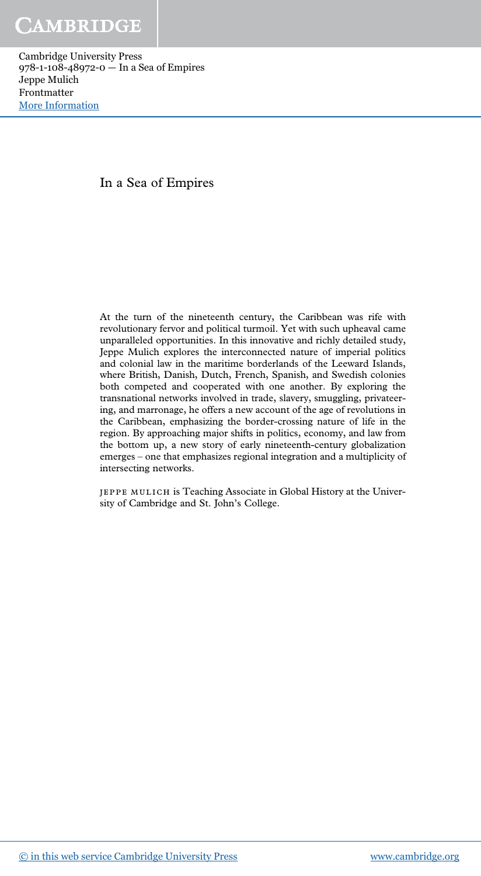In a Sea of Empires

At the turn of the nineteenth century, the Caribbean was rife with revolutionary fervor and political turmoil. Yet with such upheaval came unparalleled opportunities. In this innovative and richly detailed study, Jeppe Mulich explores the interconnected nature of imperial politics and colonial law in the maritime borderlands of the Leeward Islands, where British, Danish, Dutch, French, Spanish, and Swedish colonies both competed and cooperated with one another. By exploring the transnational networks involved in trade, slavery, smuggling, privateering, and marronage, he offers a new account of the age of revolutions in the Caribbean, emphasizing the border-crossing nature of life in the region. By approaching major shifts in politics, economy, and law from the bottom up, a new story of early nineteenth-century globalization emerges – one that emphasizes regional integration and a multiplicity of intersecting networks.

JEPPE MULICH is Teaching Associate in Global History at the University of Cambridge and St. John's College.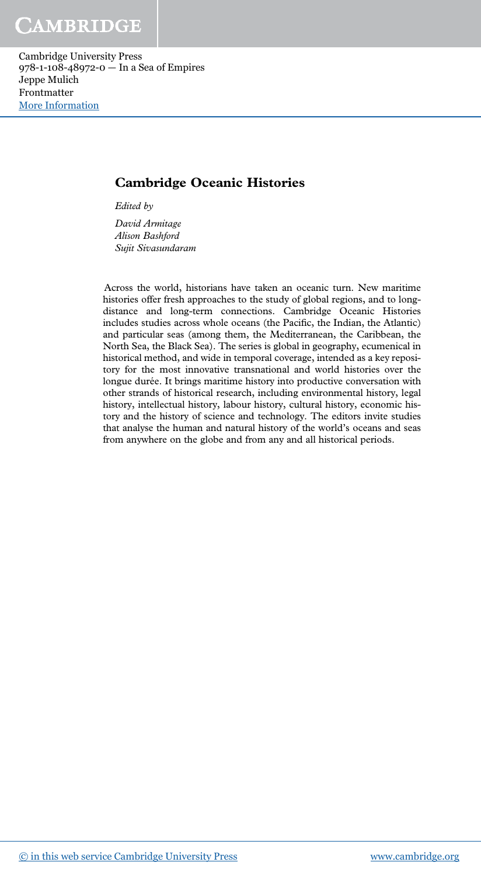#### **Cambridge Oceanic Histories**

*Edited by*

*David Armitage Alison Bashford Sujit Sivasundaram*

Across the world, historians have taken an oceanic turn. New maritime histories offer fresh approaches to the study of global regions, and to longdistance and long-term connections. Cambridge Oceanic Histories includes studies across whole oceans (the Pacific, the Indian, the Atlantic) and particular seas (among them, the Mediterranean, the Caribbean, the North Sea, the Black Sea). The series is global in geography, ecumenical in historical method, and wide in temporal coverage, intended as a key repository for the most innovative transnational and world histories over the longue durée. It brings maritime history into productive conversation with other strands of historical research, including environmental history, legal history, intellectual history, labour history, cultural history, economic history and the history of science and technology. The editors invite studies that analyse the human and natural history of the world's oceans and seas from anywhere on the globe and from any and all historical periods.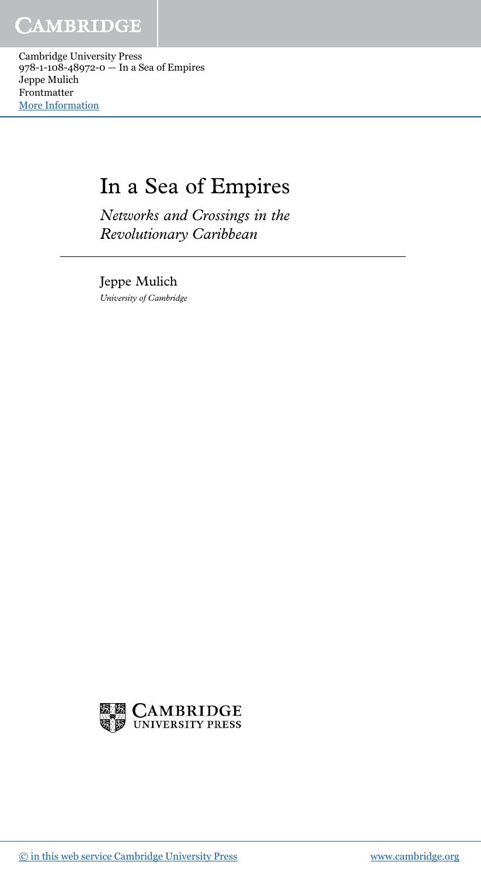# In a Sea of Empires

*Networks and Crossings in the Revolutionary Caribbean*

Jeppe Mulich *University of Cambridge*

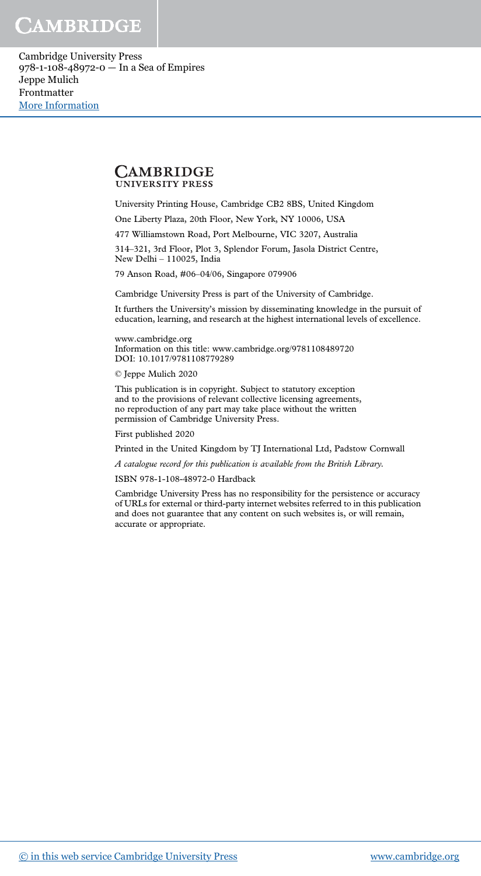## CAMBRIDGE

Cambridge University Press 978-1-108-48972-0 — In a Sea of Empires Jeppe Mulich Frontmatter [More Information](www.cambridge.org/9781108489720)

#### **CAMBRIDGE UNIVERSITY PRESS**

University Printing House, Cambridge CB2 8BS, United Kingdom

One Liberty Plaza, 20th Floor, New York, NY 10006, USA

477 Williamstown Road, Port Melbourne, VIC 3207, Australia

314–321, 3rd Floor, Plot 3, Splendor Forum, Jasola District Centre, New Delhi – 110025, India

79 Anson Road, #06–04/06, Singapore 079906

Cambridge University Press is part of the University of Cambridge.

It furthers the University's mission by disseminating knowledge in the pursuit of education, learning, and research at the highest international levels of excellence.

www.cambridge.org Information on this title: www.cambridge.org/9781108489720 DOI: 10.1017/9781108779289

© Jeppe Mulich 2020

This publication is in copyright. Subject to statutory exception and to the provisions of relevant collective licensing agreements, no reproduction of any part may take place without the written permission of Cambridge University Press.

First published 2020

Printed in the United Kingdom by TJ International Ltd, Padstow Cornwall

A catalogue record for this publication is available from the British Library.

ISBN 978-1-108-48972-0 Hardback

Cambridge University Press has no responsibility for the persistence or accuracy of URLs for external or third-party internet websites referred to in this publication and does not guarantee that any content on such websites is, or will remain, accurate or appropriate.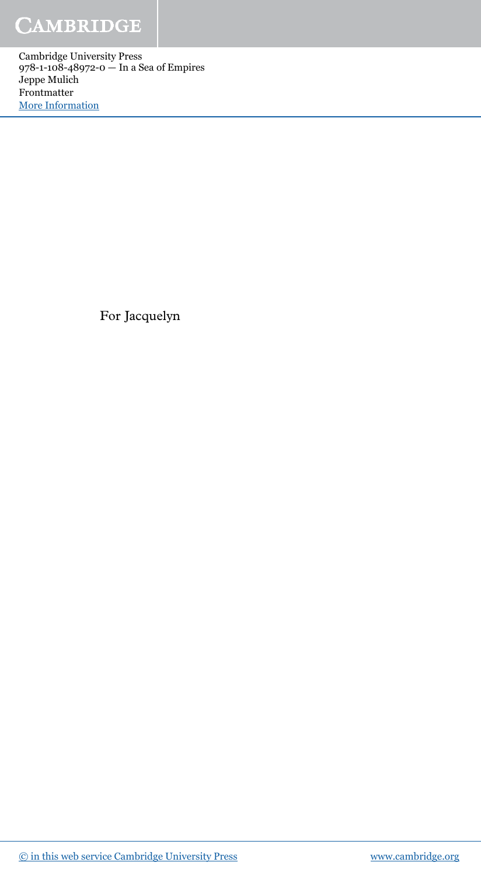## **CAMBRIDGE**

Cambridge University Press 978-1-108-48972-0 — In a Sea of Empires Jeppe Mulich Frontmatter [More Information](www.cambridge.org/9781108489720)

For Jacquelyn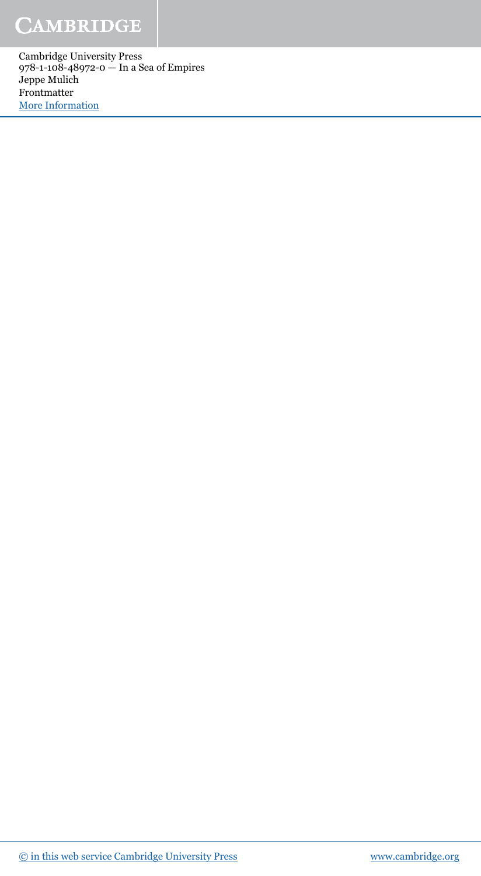## **CAMBRIDGE**

Cambridge University Press 978-1-108-48972-0 — In a Sea of Empires Jeppe Mulich Frontmatter [More Information](www.cambridge.org/9781108489720)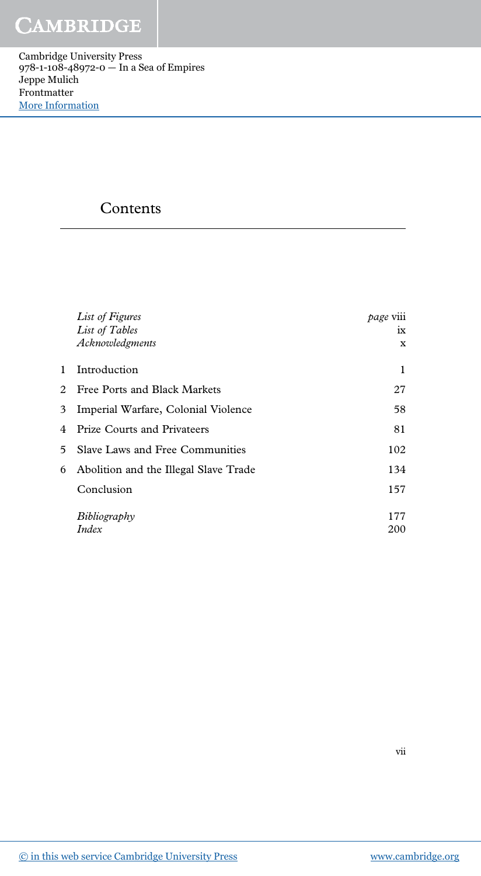### Contents

|   | List of Figures                       | page viii |
|---|---------------------------------------|-----------|
|   | List of Tables                        | 1X        |
|   | Acknowledgments                       | X         |
| 1 | Introduction                          | 1         |
|   | 2 Free Ports and Black Markets        | 27        |
| 3 | Imperial Warfare, Colonial Violence   | 58        |
| 4 | <b>Prize Courts and Privateers</b>    | 81        |
| 5 | Slave Laws and Free Communities       | 102       |
| 6 | Abolition and the Illegal Slave Trade | 134       |
|   | Conclusion                            | 157       |
|   | Bibliography                          | 177       |
|   | Index                                 | 200       |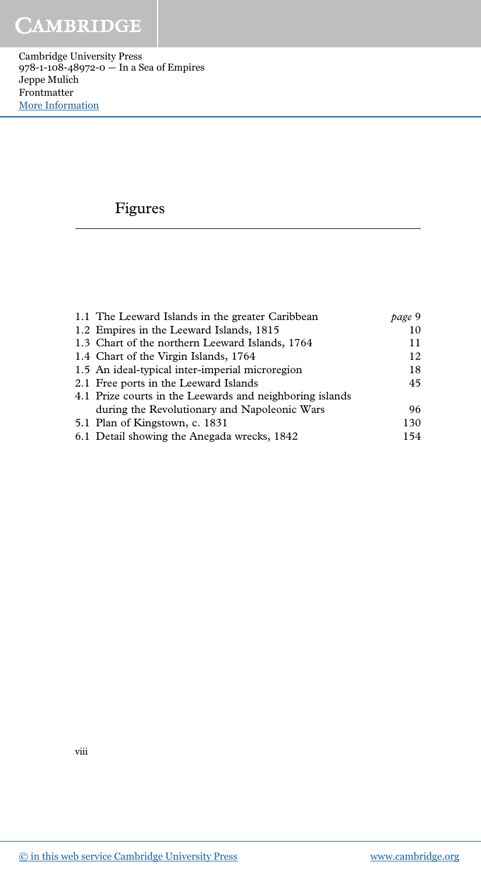### Figures

| 1.1 The Leeward Islands in the greater Caribbean         | page 9 |
|----------------------------------------------------------|--------|
| 1.2 Empires in the Leeward Islands, 1815                 | 10     |
| 1.3 Chart of the northern Leeward Islands, 1764          | 11     |
| 1.4 Chart of the Virgin Islands, 1764                    | 12     |
| 1.5 An ideal-typical inter-imperial microregion          | 18     |
| 2.1 Free ports in the Leeward Islands                    | 45     |
| 4.1 Prize courts in the Leewards and neighboring islands |        |
| during the Revolutionary and Napoleonic Wars             | 96     |
| 5.1 Plan of Kingstown, c. 1831                           | 130    |
| 6.1 Detail showing the Anegada wrecks, 1842              | 154    |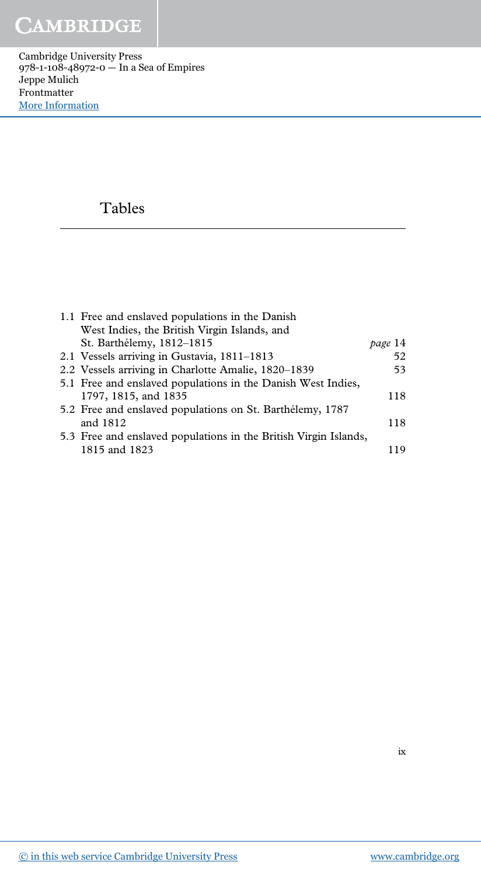### Tables

| 1.1 Free and enslaved populations in the Danish                  |         |
|------------------------------------------------------------------|---------|
| West Indies, the British Virgin Islands, and                     |         |
| St. Barthélemy, 1812-1815                                        | page 14 |
| 2.1 Vessels arriving in Gustavia, 1811-1813                      | 52      |
| 2.2 Vessels arriving in Charlotte Amalie, 1820–1839              | 53      |
| 5.1 Free and enslaved populations in the Danish West Indies,     |         |
| 1797, 1815, and 1835                                             | 118     |
| 5.2 Free and enslaved populations on St. Barthélemy, 1787        |         |
| and 1812                                                         | 118     |
| 5.3 Free and enslaved populations in the British Virgin Islands, |         |
| 1815 and 1823                                                    | 19      |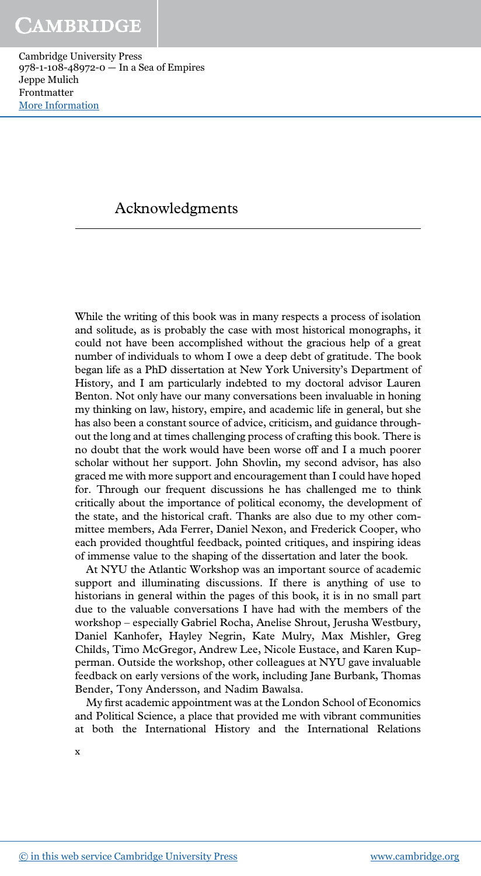### Acknowledgments

While the writing of this book was in many respects a process of isolation and solitude, as is probably the case with most historical monographs, it could not have been accomplished without the gracious help of a great number of individuals to whom I owe a deep debt of gratitude. The book began life as a PhD dissertation at New York University's Department of History, and I am particularly indebted to my doctoral advisor Lauren Benton. Not only have our many conversations been invaluable in honing my thinking on law, history, empire, and academic life in general, but she has also been a constant source of advice, criticism, and guidance throughout the long and at times challenging process of crafting this book. There is no doubt that the work would have been worse off and I a much poorer scholar without her support. John Shovlin, my second advisor, has also graced me with more support and encouragement than I could have hoped for. Through our frequent discussions he has challenged me to think critically about the importance of political economy, the development of the state, and the historical craft. Thanks are also due to my other committee members, Ada Ferrer, Daniel Nexon, and Frederick Cooper, who each provided thoughtful feedback, pointed critiques, and inspiring ideas of immense value to the shaping of the dissertation and later the book.

At NYU the Atlantic Workshop was an important source of academic support and illuminating discussions. If there is anything of use to historians in general within the pages of this book, it is in no small part due to the valuable conversations I have had with the members of the workshop – especially Gabriel Rocha, Anelise Shrout, Jerusha Westbury, Daniel Kanhofer, Hayley Negrin, Kate Mulry, Max Mishler, Greg Childs, Timo McGregor, Andrew Lee, Nicole Eustace, and Karen Kupperman. Outside the workshop, other colleagues at NYU gave invaluable feedback on early versions of the work, including Jane Burbank, Thomas Bender, Tony Andersson, and Nadim Bawalsa.

My first academic appointment was at the London School of Economics and Political Science, a place that provided me with vibrant communities at both the International History and the International Relations

x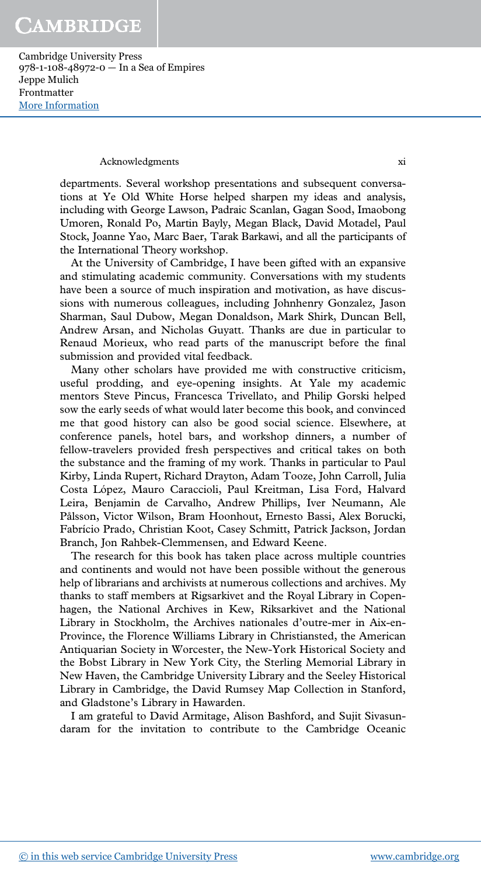#### Acknowledgments xi

departments. Several workshop presentations and subsequent conversations at Ye Old White Horse helped sharpen my ideas and analysis, including with George Lawson, Padraic Scanlan, Gagan Sood, Imaobong Umoren, Ronald Po, Martin Bayly, Megan Black, David Motadel, Paul Stock, Joanne Yao, Marc Baer, Tarak Barkawi, and all the participants of the International Theory workshop.

At the University of Cambridge, I have been gifted with an expansive and stimulating academic community. Conversations with my students have been a source of much inspiration and motivation, as have discussions with numerous colleagues, including Johnhenry Gonzalez, Jason Sharman, Saul Dubow, Megan Donaldson, Mark Shirk, Duncan Bell, Andrew Arsan, and Nicholas Guyatt. Thanks are due in particular to Renaud Morieux, who read parts of the manuscript before the final submission and provided vital feedback.

Many other scholars have provided me with constructive criticism, useful prodding, and eye-opening insights. At Yale my academic mentors Steve Pincus, Francesca Trivellato, and Philip Gorski helped sow the early seeds of what would later become this book, and convinced me that good history can also be good social science. Elsewhere, at conference panels, hotel bars, and workshop dinners, a number of fellow-travelers provided fresh perspectives and critical takes on both the substance and the framing of my work. Thanks in particular to Paul Kirby, Linda Rupert, Richard Drayton, Adam Tooze, John Carroll, Julia Costa López, Mauro Caraccioli, Paul Kreitman, Lisa Ford, Halvard Leira, Benjamin de Carvalho, Andrew Phillips, Iver Neumann, Ale Pålsson, Victor Wilson, Bram Hoonhout, Ernesto Bassi, Alex Borucki, Fabrício Prado, Christian Koot, Casey Schmitt, Patrick Jackson, Jordan Branch, Jon Rahbek-Clemmensen, and Edward Keene.

The research for this book has taken place across multiple countries and continents and would not have been possible without the generous help of librarians and archivists at numerous collections and archives. My thanks to staff members at Rigsarkivet and the Royal Library in Copenhagen, the National Archives in Kew, Riksarkivet and the National Library in Stockholm, the Archives nationales d'outre-mer in Aix-en-Province, the Florence Williams Library in Christiansted, the American Antiquarian Society in Worcester, the New-York Historical Society and the Bobst Library in New York City, the Sterling Memorial Library in New Haven, the Cambridge University Library and the Seeley Historical Library in Cambridge, the David Rumsey Map Collection in Stanford, and Gladstone's Library in Hawarden.

I am grateful to David Armitage, Alison Bashford, and Sujit Sivasundaram for the invitation to contribute to the Cambridge Oceanic